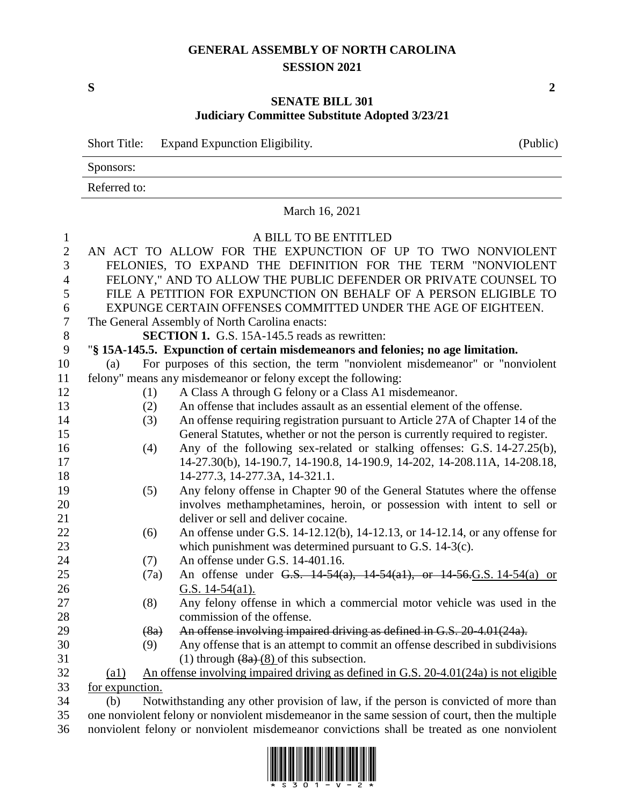## **GENERAL ASSEMBLY OF NORTH CAROLINA SESSION 2021**

## **SENATE BILL 301 Judiciary Committee Substitute Adopted 3/23/21**

|                  | <b>Short Title:</b>                                                               | Expand Expunction Eligibility.                                                        | (Public) |  |  |  |
|------------------|-----------------------------------------------------------------------------------|---------------------------------------------------------------------------------------|----------|--|--|--|
|                  | Sponsors:                                                                         |                                                                                       |          |  |  |  |
|                  | Referred to:<br>March 16, 2021                                                    |                                                                                       |          |  |  |  |
|                  |                                                                                   |                                                                                       |          |  |  |  |
| $\mathbf{1}$     |                                                                                   | A BILL TO BE ENTITLED                                                                 |          |  |  |  |
| $\mathbf{2}$     |                                                                                   | AN ACT TO ALLOW FOR THE EXPUNCTION OF UP TO TWO NONVIOLENT                            |          |  |  |  |
| 3                | FELONIES, TO EXPAND THE DEFINITION FOR THE TERM "NONVIOLENT                       |                                                                                       |          |  |  |  |
| $\overline{4}$   | FELONY," AND TO ALLOW THE PUBLIC DEFENDER OR PRIVATE COUNSEL TO                   |                                                                                       |          |  |  |  |
| 5                | FILE A PETITION FOR EXPUNCTION ON BEHALF OF A PERSON ELIGIBLE TO                  |                                                                                       |          |  |  |  |
| 6                |                                                                                   | EXPUNGE CERTAIN OFFENSES COMMITTED UNDER THE AGE OF EIGHTEEN.                         |          |  |  |  |
| $\boldsymbol{7}$ |                                                                                   | The General Assembly of North Carolina enacts:                                        |          |  |  |  |
| $8\,$            |                                                                                   | <b>SECTION 1.</b> G.S. 15A-145.5 reads as rewritten:                                  |          |  |  |  |
| 9                | "§ 15A-145.5. Expunction of certain misdemeanors and felonies; no age limitation. |                                                                                       |          |  |  |  |
| 10               | (a)                                                                               | For purposes of this section, the term "nonviolent misdemeanor" or "nonviolent        |          |  |  |  |
| 11               |                                                                                   | felony" means any misdemeanor or felony except the following:                         |          |  |  |  |
| 12               |                                                                                   | A Class A through G felony or a Class A1 misdemeanor.<br>(1)                          |          |  |  |  |
| 13               |                                                                                   | An offense that includes assault as an essential element of the offense.              |          |  |  |  |
| 14               |                                                                                   | (2)<br>An offense requiring registration pursuant to Article 27A of Chapter 14 of the |          |  |  |  |
| 15               |                                                                                   | (3)<br>General Statutes, whether or not the person is currently required to register. |          |  |  |  |
|                  |                                                                                   |                                                                                       |          |  |  |  |
| 16               |                                                                                   | Any of the following sex-related or stalking offenses: G.S. 14-27.25(b),<br>(4)       |          |  |  |  |
| 17               |                                                                                   | 14-27.30(b), 14-190.7, 14-190.8, 14-190.9, 14-202, 14-208.11A, 14-208.18,             |          |  |  |  |
| 18               |                                                                                   | 14-277.3, 14-277.3A, 14-321.1.                                                        |          |  |  |  |
| 19               |                                                                                   | Any felony offense in Chapter 90 of the General Statutes where the offense<br>(5)     |          |  |  |  |
| 20               |                                                                                   | involves methamphetamines, heroin, or possession with intent to sell or               |          |  |  |  |
| 21               |                                                                                   | deliver or sell and deliver cocaine.                                                  |          |  |  |  |
| 22               |                                                                                   | An offense under G.S. 14-12.12(b), 14-12.13, or 14-12.14, or any offense for<br>(6)   |          |  |  |  |
| 23               |                                                                                   | which punishment was determined pursuant to G.S. $14-3(c)$ .                          |          |  |  |  |
| 24               |                                                                                   | An offense under G.S. 14-401.16.<br>(7)                                               |          |  |  |  |
| 25               |                                                                                   | An offense under G.S. 14-54(a), 14-54(a1), or 14-56.G.S. 14-54(a) or<br>(7a)          |          |  |  |  |
| 26               |                                                                                   | G.S. $14-54$ (a1).                                                                    |          |  |  |  |
| 27               |                                                                                   | Any felony offense in which a commercial motor vehicle was used in the<br>(8)         |          |  |  |  |
| 28               |                                                                                   | commission of the offense.                                                            |          |  |  |  |
| 29               |                                                                                   | An offense involving impaired driving as defined in G.S. 20-4.01(24a).<br>(8a)        |          |  |  |  |
| 30               |                                                                                   | Any offense that is an attempt to commit an offense described in subdivisions<br>(9)  |          |  |  |  |
| 31               |                                                                                   | (1) through $(8a)$ $(8)$ of this subsection.                                          |          |  |  |  |
| 32               | $\left( \underline{a1} \right)$                                                   | An offense involving impaired driving as defined in G.S. 20-4.01(24a) is not eligible |          |  |  |  |
| 33               | <u>for expunction.</u>                                                            |                                                                                       |          |  |  |  |
| 34               | (b)                                                                               | Notwithstanding any other provision of law, if the person is convicted of more than   |          |  |  |  |

 (b) Notwithstanding any other provision of law, if the person is convicted of more than one nonviolent felony or nonviolent misdemeanor in the same session of court, then the multiple nonviolent felony or nonviolent misdemeanor convictions shall be treated as one nonviolent



**S 2**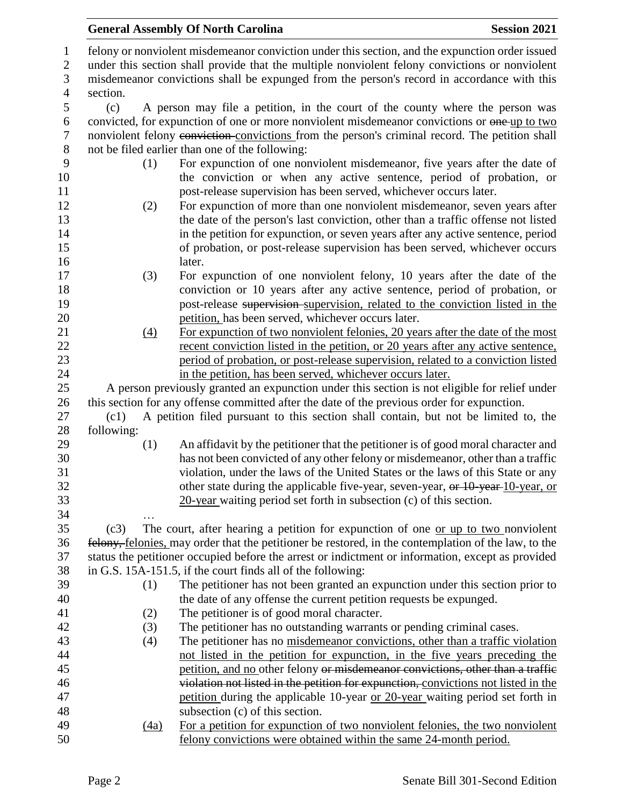|                            |                  | <b>General Assembly Of North Carolina</b>                                                                                                                                                         | <b>Session 2021</b> |  |  |
|----------------------------|------------------|---------------------------------------------------------------------------------------------------------------------------------------------------------------------------------------------------|---------------------|--|--|
| $\mathbf{1}$<br>$\sqrt{2}$ |                  | felony or nonviolent misdemeanor conviction under this section, and the expunction order issued<br>under this section shall provide that the multiple nonviolent felony convictions or nonviolent |                     |  |  |
| $\mathfrak{Z}$             |                  | misdemeanor convictions shall be expunged from the person's record in accordance with this                                                                                                        |                     |  |  |
| $\overline{4}$             | section.         |                                                                                                                                                                                                   |                     |  |  |
| $\mathfrak s$              | (c)              | A person may file a petition, in the court of the county where the person was                                                                                                                     |                     |  |  |
| 6                          |                  | convicted, for expunction of one or more nonviolent misdemeanor convictions or one-up to two                                                                                                      |                     |  |  |
| $\tau$                     |                  | nonviolent felony conviction-convictions from the person's criminal record. The petition shall                                                                                                    |                     |  |  |
| $8\,$                      |                  | not be filed earlier than one of the following:                                                                                                                                                   |                     |  |  |
| 9<br>10                    | (1)              | For expunction of one nonviolent misdemeanor, five years after the date of<br>the conviction or when any active sentence, period of probation, or                                                 |                     |  |  |
| 11<br>12                   | (2)              | post-release supervision has been served, whichever occurs later.<br>For expunction of more than one nonviolent misdemeanor, seven years after                                                    |                     |  |  |
| 13                         |                  | the date of the person's last conviction, other than a traffic offense not listed                                                                                                                 |                     |  |  |
| 14                         |                  | in the petition for expunction, or seven years after any active sentence, period                                                                                                                  |                     |  |  |
| 15                         |                  | of probation, or post-release supervision has been served, whichever occurs                                                                                                                       |                     |  |  |
| 16                         |                  | later.                                                                                                                                                                                            |                     |  |  |
| 17                         | (3)              | For expunction of one nonviolent felony, 10 years after the date of the                                                                                                                           |                     |  |  |
| 18                         |                  | conviction or 10 years after any active sentence, period of probation, or                                                                                                                         |                     |  |  |
| 19                         |                  | post-release supervision-supervision, related to the conviction listed in the                                                                                                                     |                     |  |  |
| 20                         |                  | petition, has been served, whichever occurs later.                                                                                                                                                |                     |  |  |
| 21                         | $\left(4\right)$ | For expunction of two nonviolent felonies, 20 years after the date of the most                                                                                                                    |                     |  |  |
| 22                         |                  | recent conviction listed in the petition, or 20 years after any active sentence,                                                                                                                  |                     |  |  |
| 23                         |                  | period of probation, or post-release supervision, related to a conviction listed                                                                                                                  |                     |  |  |
| 24                         |                  | in the petition, has been served, whichever occurs later.                                                                                                                                         |                     |  |  |
| 25                         |                  | A person previously granted an expunction under this section is not eligible for relief under                                                                                                     |                     |  |  |
| 26<br>27                   | (c1)             | this section for any offense committed after the date of the previous order for expunction.<br>A petition filed pursuant to this section shall contain, but not be limited to, the                |                     |  |  |
| 28                         | following:       |                                                                                                                                                                                                   |                     |  |  |
| 29                         | (1)              | An affidavit by the petitioner that the petitioner is of good moral character and                                                                                                                 |                     |  |  |
| 30                         |                  | has not been convicted of any other felony or misdemeanor, other than a traffic                                                                                                                   |                     |  |  |
| 31                         |                  | violation, under the laws of the United States or the laws of this State or any                                                                                                                   |                     |  |  |
| 32                         |                  | other state during the applicable five-year, seven-year, or 10-year-10-year, or                                                                                                                   |                     |  |  |
| 33                         |                  | $20$ -year waiting period set forth in subsection (c) of this section.                                                                                                                            |                     |  |  |
| 34                         |                  |                                                                                                                                                                                                   |                     |  |  |
| 35                         | (c3)             | The court, after hearing a petition for expunction of one or up to two nonviolent                                                                                                                 |                     |  |  |
| 36                         |                  | felony, felonies, may order that the petitioner be restored, in the contemplation of the law, to the                                                                                              |                     |  |  |
| 37                         |                  | status the petitioner occupied before the arrest or indictment or information, except as provided                                                                                                 |                     |  |  |
| 38                         |                  | in G.S. 15A-151.5, if the court finds all of the following:                                                                                                                                       |                     |  |  |
| 39                         | (1)              | The petitioner has not been granted an expunction under this section prior to                                                                                                                     |                     |  |  |
| 40                         |                  | the date of any offense the current petition requests be expunged.                                                                                                                                |                     |  |  |
| 41                         | (2)              | The petitioner is of good moral character.                                                                                                                                                        |                     |  |  |
| 42                         | (3)              | The petitioner has no outstanding warrants or pending criminal cases.                                                                                                                             |                     |  |  |
| 43                         | (4)              | The petitioner has no misdemeanor convictions, other than a traffic violation                                                                                                                     |                     |  |  |
| 44                         |                  | not listed in the petition for expunction, in the five years preceding the                                                                                                                        |                     |  |  |
| 45                         |                  | petition, and no other felony or misdemeanor convictions, other than a traffic                                                                                                                    |                     |  |  |
| 46<br>47                   |                  | violation not listed in the petition for expunction, convictions not listed in the                                                                                                                |                     |  |  |
| 48                         |                  | petition during the applicable 10-year or 20-year waiting period set forth in<br>subsection (c) of this section.                                                                                  |                     |  |  |
| 49                         | (4a)             | For a petition for expunction of two nonviolent felonies, the two nonviolent                                                                                                                      |                     |  |  |
| 50                         |                  | felony convictions were obtained within the same 24-month period.                                                                                                                                 |                     |  |  |